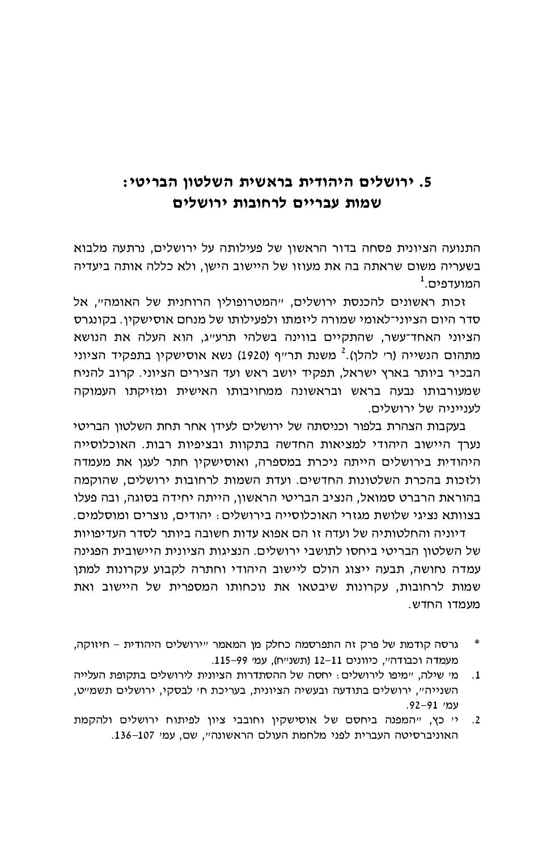## 5. ירושלים היהודית בראשית השלטון הבריטי: שמות עבריים לרחובות ירושלים

התנועה הציונית פסחה בדור הראשון של פעילותה על ירושלים, נרתעה מלבוא בשעריה משום שראתה בה את מעוזו של היישוב הישו, ולא כללה אותה ביעדיה  $^1$ . המועדפים

זכות ראשונים להכנסת ירושלים, "המטרופולין הרוחנית של האומה". אל סדר היום הציוני־לאומי שמורה ליזמתו ולפעילותו של מנחם אוסישקין. בקונגרס הציוני האחד־עשר, שהתקיים בווינה בשלהי תרעייג, הוא העלה את הנושא מתהום הנשייה (ר׳ להלן).<sup>2</sup> משנת תר״ף (1920) נשא אוסישקין בתפקיד הציוני הבכיר ביותר בארץ ישראל, תפקיד יושב ראש ועד הצירים הציוני. קרוב להניח שמעורבותו נבעה בראש ובראשונה ממחויבותו האישית ומזיקתו העמוקה לעוייויה של ירושלים.

בעקבות הצהרת בלפור וכניסתה של ירושלים לעידן אחר תחת השלטון הבריטי נערד היישוב היהודי למציאות החדשה בתקוות ובציפיות רבות. האוכלוסייה היהודית בירושלים הייתה ניכרת במספרה. ואוסישקיו חתר לעגו את מעמדה ולזכות בהכרת השלטונות החדשים. ועדת השמות לרחובות ירושלים, שהוקמה בהוראת הרברט סמואל, הנציב הבריטי הראשון, הייתה יחידה בסוגה, ובה פעלו בצוותא נציגי שלושת מגזרי האוכלוסייה בירושלים: יהודים, נוצרים ומוסלמים.

דיוניה והחלטותיה של ועדה זו הם אפוא עדות חשובה ביותר לסדר העדיפויות של השלטוו הבריטי ביחסו לתושבי ירושלים. הנציגות הציונית היישובית הפגינה עמדה נחושה, תבעה ייצוג הולם ליישוב היהודי וחתרה לקבוע עקרונות למתן שמות לרחובות, עקרונות שיבטאו את נוכחותו המספרית של היישוב ואת מעמדו החדש.

- גרסה קודמת של פרק זה התפרסמה כחלק מן המאמר "ירושלים היהודית חיזוקה,  $\ast$ מעמדה וכבודה", כיוונים 11-11 (תשנ"ח), עמ' 99-115.
- מי שילה, יימיפו לירושלים: יחסה של ההסתדרות הציונית לירושלים בתקופת העלייה  $\cdot .1$ השנייה", ירושלים בתודעה ובעשיה הציונית, בעריכת ח' לבסקי, ירושלים תשמ"ט, עמי 91–92.
- יי כץ, ייהמפנה ביחסם של אוסישקין וחובבי ציון לפיתוח ירושלים ולהקמת  $\cdot$ .2 האוניברסיטה העברית לפני מלחמת העולם הראשונה", שם, עמ' 107-136.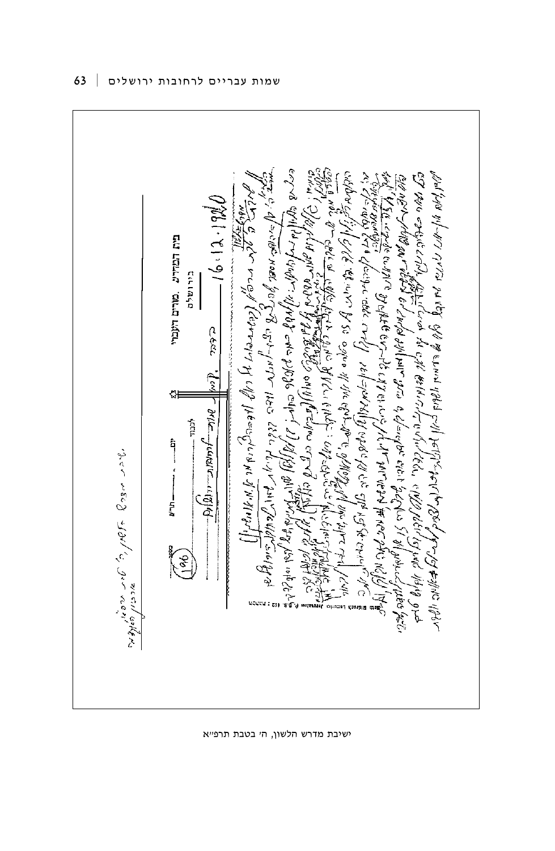

ישיבת מדרש הלשון, הי בטבת תרפייא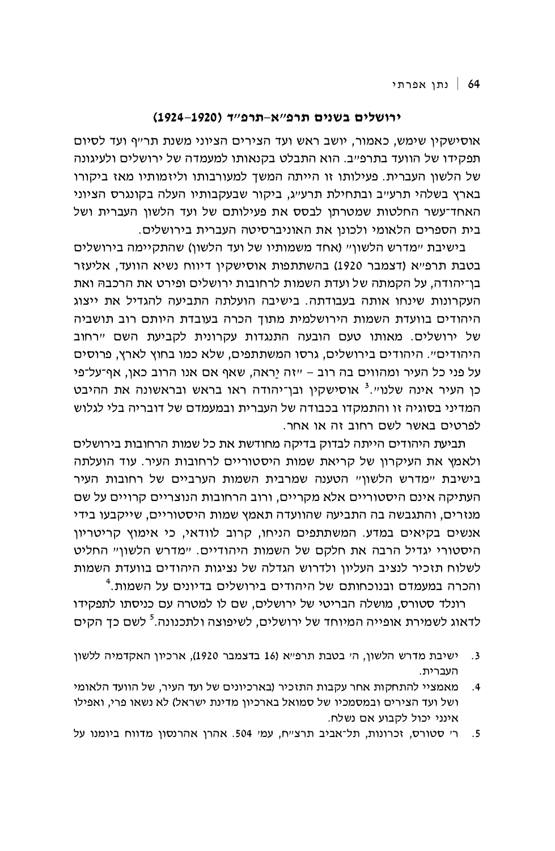## ירושלים בשנים תרפ"א-תרפ"ד (1920–1924)

אוסישקין שימש, כאמור, יושב ראש ועד הצירים הציוני משנת תר״ף ועד לסיום תפקידו של הוועד בתרפ״ב. הוא התבלט בקנאותו למעמדה של ירושלים ולעיגונה של הלשון העברית. פעילותו זו הייתה המשך למעורבותו וליזמותיו מאז ביקורו בארץ בשלהי תרעייב ובתחילת תרעייג, ביקור שבעקבותיו העלה בקונגרס הציוני האחד־עשר החלטות שמטרתן לבסס את פעילותם של ועד הלשון העברית ושל בית הספרים הלאומי ולכונו את האוניברסיטה העברית בירושלים.

בישיבת "מדרש הלשוו" (אחד משמותיו של ועד הלשוו) שהתקיימה בירושלים בטבת תרפ״א (דצמבר 1920) בהשתתפות אוסישקיו דיווח נשיא הוועד. אליעזר בן־יהודה, על הקמתה של ועדת השמות לרחובות ירושלים ופירט את הרכבהּ ואת העקרונות שינחו אותה בעבודתה. בישיבה הועלתה התביעה להגדיל את ייצוג היהודים בוועדת השמות הירושלמית מתוך הכרה בעובדת היותם רוב תושביה של ירושלים. מאותו טעם הובעה התנגדות עקרונית לקביעת השם "רחוב היהודים". היהודים בירושלים, גרסו המשתתפים, שלא כמו בחוץ לארץ, פרוסים על פני כל העיר ומהווים בה רוב – ״זה יראה, שאף אם אנו הרוב כאן, אף־על־פי כן העיר אינה שלנו".<sup>3</sup> אוסישקין ובן־יהודה ראו בראש ובראשונה את ההיבט המדיני בסוגיה זו והתמקדו בכבודה של העברית ובמעמדם של דובריה בלי לגלוש לפרטים באשר לשם רחוב זה או אחר.

תביעת היהודים הייתה לבדוק בדיקה מחודשת את כל שמות הרחובות בירושלים ולאמץ את העיקרון של קריאת שמות היסטוריים לרחובות העיר. עוד הועלתה בישיבת "מדרש הלשון" הטענה שמרבית השמות הערביים של רחובות העיר העתיקה אינם היסטוריים אלא מקריים, ורוב הרחובות הנוצריים קרויים על שם מנזרים, והתגבשה בה התביעה שהוועדה תאמץ שמות היסטוריים, שייקבעו בידי אנשים בקיאים במדע. המשתתפים הניחו, קרוב לוודאי, כי אימוץ קריטריון היסטורי יגדיל הרבה את חלקם של השמות היהודיים. "מדרש הלשון" החליט לשלוח תזכיר לנציב העליון ולדרוש הגדלה של נציגות היהודים בוועדת השמות והכרה במעמדם ובנוכחותם של היהודים בירושלים בדיונים על השמות.<sup>4</sup>

רונלד סטורס, מושלה הבריטי של ירושלים, שם לו למטרה עם כניסתו לתפקידו לדאוג לשמירת אופייה המיוחד של ירושלים. לשיפוצה ולתכנונה.<sup>5</sup> לשם כד הקים

- ישיבת מדרש הלשון, ה׳ בטבת תרפ״א (16 בדצמבר 1920), ארכיון האקדמיה ללשון  $\cdot$ 3 העברית.
- מאמציי להתחקות אחר עקבות התזכיר (בארכיונים של ועד העיר, של הוועד הלאומי  $\cdot$ .4 ושל ועד הצירים ובמסמכיו של סמואל בארכיון מדינת ישראל) לא נשאו פרי, ואפילו אינני יכול לקבוע אם נשלח.

ר׳ סטורס, זכרונות, תל־אביב תרצ״ח, עמ׳ 504. אהרן אהרנסון מדווח ביומנו על  $.5$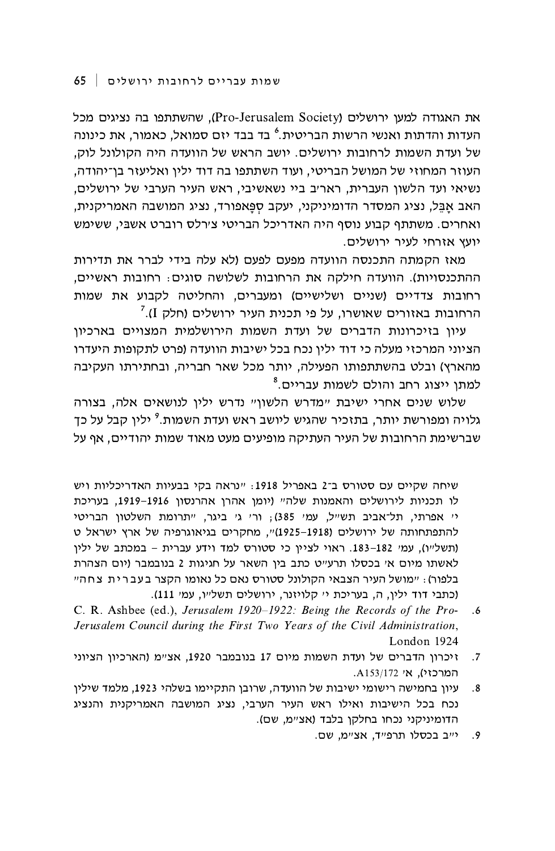את האגודה למעו ירושלים (Pro-Jerusalem Society), שהשתתפו בה נציגים מכל העדות והדתות ואנשי הרשות הבריטית.<sup>6</sup> בד בבד יזם סמואל. כאמור. את כינונה של ועדת השמות לרחובות ירושלים. יושב הראש של הוועדה היה הקולונל לוק, העוזר המחוזי של המושל הבריטי, ועוד השתתפו בה דוד ילין ואליעזר בן־יהודה, נשיאי ועד הלשון העברית, ראריב ביי נשאשיבי, ראש העיר הערבי של ירושלים, האב אבל, נציג המסדר הדומיניקני, יעקב ספּאפורד, נציג המושבה האמריקנית, ואחרים. משתתף קבוע נוסף היה האדריכל הבריטי צירלס רוברט אשבי. ששימש יועץ אזרחי לעיר ירושלים.

מאז הקמתה התכנסה הוועדה מפעם לפעם (לא עלה בידי לברר את תדירות ההתכנסויות). הוועדה חילקה את הרחובות לשלושה סוגים: רחובות ראשיים, רחובות צדדיים (שניים ושלישיים) ומעברים, והחליטה לקבוע את שמות הרחובות באזורים שאושרו, על פי תכנית העיר ירושלים (חלק I).<sup>7</sup>

עיוו בזיכרונות הדברים של ועדת השמות הירושלמית המצויים בארכיוו הציוני המרכזי מעלה כי דוד ילין נכח בכל ישיבות הוועדה (פרט לתקופות היעדרו מהארץ) ובלט בהשתתפותו הפעילה, יותר מכל שאר חבריה, ובחתירתו העקיבה למתו ייצוג רחב והולם לשמות עבריים.<sup>8</sup>

שלוש שנים אחרי ישיבת "מדרש הלשון" נדרש ילין לנושאים אלה, בצורה גלויה ומפורשת יותר. בתזכיר שהגיש ליושב ראש ועדת השמות.<sup>9</sup> יליו קבל על כד שברשימת הרחובות של העיר העתיקה מופיעים מעט מאוד שמות יהודיים, אף על

שיחה שקיים עם סטורס ב־2 באפריל 1918: "נראה בקי בבעיות האדריכליות ויש לו תכניות לירושלים והאמנות שלה" (יומן אהרן אהרנסון 1916–1919, בעריכת יי אפרתי, תל־אביב תשייל, עמי 385); ורי גי ביגר, ייתרומת השלטון הבריטי להתפתחותה של ירושלים (1918–1925)", מחקרים בגיאוגרפיה של ארץ ישראל ט (תשל״ו), עמי 182-183. ראוי לציין כי סטורס למד וידע עברית - במכתב של ילין לאשתו מיום אי בכסלו תרעייט כתב בין השאר על חגיגות 2 בנובמבר (יום הצהרת בלפור): ״מושל העיר הצבאי הקולונל סטורס נאם כל נאומו הקצר בעברית צחה״ (כתבי דוד ילין, ה, בעריכת יי קלויזנר, ירושלים תשל״ו, עמי 111).

- C. R. Ashbee (ed.), Jerusalem 1920-1922: Being the Records of the Pro- $.6$ Jerusalem Council during the First Two Years of the Civil Administration, London 1924
- זיכרון הדברים של ועדת השמות מיום 17 בנובמבר 1920, אצ״מ (הארכיון הציוני  $.7$ .A153/172 אי 4153/172
- עיון בחמישה רישומי ישיבות של הוועדה, שרובן התקיימו בשלהי 1923, מלמד שילין  $.8$ נכח בכל הישיבות ואילו ראש העיר הערבי, נציג המושבה האמריקנית והנציג הדומיניקני נכחו בחלקו בלבד (אצ״מ, שם).
	- יייב בכסלו תרפייד, אציימ, שם.  $.9$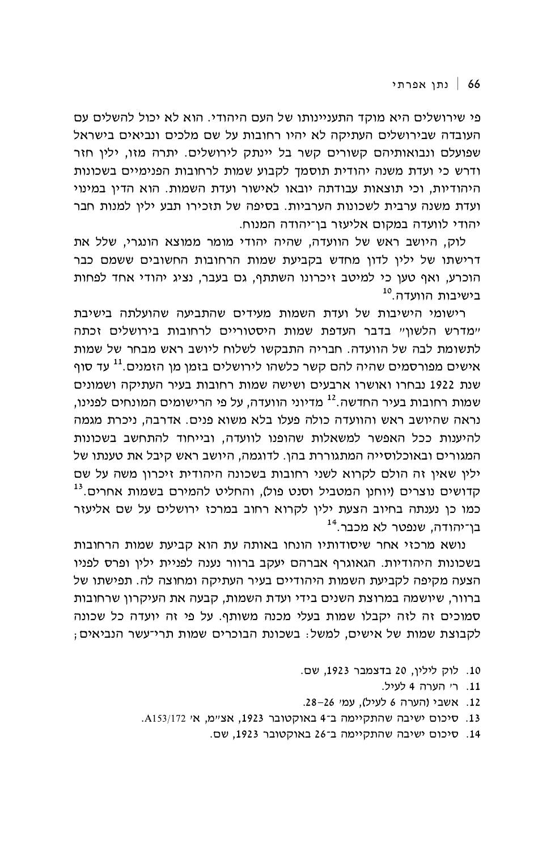פי שירושלים היא מוקד התעניינותו של העם היהודי. הוא לא יכול להשלים עם העובדה שבירושלים העתיקה לא יהיו רחובות על שם מלכים ונביאים בישראל שפועלם ונבואותיהם קשורים קשר בל יינתק לירושלים. יתרה מזו, יליו חזר ודרש כי ועדת משנה יהודית תוסמך לקבוע שמות לרחובות הפנימיים בשכונות היהודיות. וכי תוצאות עבודתה יובאו לאישור ועדת השמות. הוא הדיו במינוי ועדת משנה ערבית לשכונות הערביות. בסיפה של תזכירו תבע יליו למנות חבר יהודי לוועדה במקום אליעזר בו־יהודה המנוח.

לוק, היושב ראש של הוועדה, שהיה יהודי מומר ממוצא הונגרי, שלל את דרישתו של ילין לדון מחדש בקביעת שמות הרחובות החשובים ששמם כבר הוכרע, ואף טען כי למיטב זיכרונו השתתף, גם בעבר, נציג יהודי אחד לפחות בישירות הוועדה <sup>10</sup>

רישומי הישיבות של ועדת השמות מעידים שהתביעה שהועלתה בישיבת יימדרש הלשוויי בדבר העדפת שמות היסטוריים לרחובות בירושלים זכתה לתשומת לבה של הוועדה. חבריה התבקשו לשלוח ליושב ראש מבחר של שמות אישים מפורסמים שהיה להם קשר כלשהו לירושלים בזמו מו הזמנים.<sup>11</sup> עד סוף שנת 1922 נבחרו ואושרו ארבעים ושישה שמות רחובות בעיר העתיקה ושמונים שמות רחובות בעיר החדשה.<sup>12</sup> מדיוני הוועדה. על פי הרישומים המונחים לפנינו. נראה שהיושב ראש והוועדה כולה פעלו בלא משוא פנים. אדרבה, ניכרת מגמה להיענות ככל האפשר למשאלות שהופנו לוועדה, ובייחוד להתחשב בשכונות המגורים ובאוכלוסייה המתגוררת בהן. לדוגמה, היושב ראש קיבל את טענתו של ילין שאין זה הולם לקרוא לשני רחובות בשכונה היהודית זיכרון משה על שם קדושים נוצרים (יוחנן המטביל וסנט פול), והחליט להמירם בשמות אחרים.<sup>13</sup> כמו כן נענתה בחיוב הצעת ילין לקרוא רחוב במרכז ירושלים על שם אליעזר בן־יהודה, שנפטר לא מכבר.<sup>14</sup>

נושא מרכזי אחר שיסודותיו הונחו באותה עת הוא קביעת שמות הרחובות בשכונות היהודיות. הגאוגרף אברהם יעקב ברוור נענה לפניית ילין ופרס לפניו הצעה מקיפה לקביעת השמות היהודיים בעיר העתיקה ומחוצה לה. תפישתו של ברוור, שיושמה במרוצת השנים בידי ועדת השמות, קבעה את העיקרון שרחובות סמוכים זה לזה יקבלו שמות בעלי מכנה משותף. על פי זה יועדה כל שכונה לקבוצת שמות של אישים, למשל: בשכונת הבוכרים שמות תרי־עשר הנביאים;

- 10. לוק ליליו, 20 בדצמבר 1923, שם.
	- 11. ר' הערה 4 לעיל.
- 12. אשבי (הערה 6 לעיל), עמי 26-26.
- 13. סיכום ישיבה שהתקיימה ב־4 באוקטובר 1923, אצ״מ, א׳ A153/172.
	- 14. סיכום ישיבה שהתקיימה ב־26 באוקטובר 1923, שם.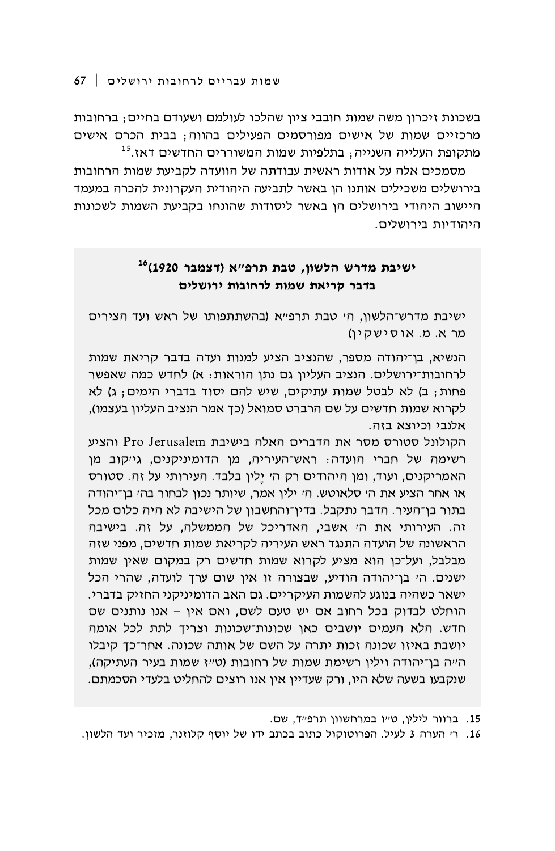בשכונת זיכרון משה שמות חובבי ציון שהלכו לעולמם ושעודם בחיים; ברחובות מרכזיים שמות של אישים מפורסמים הפעילים בהווה; בבית הכרם אישים מתקופת העלייה השנייה; בתלפיות שמות המשוררים החדשים דאז.<sup>15</sup>

מסמכים אלה על אודות ראשית עבודתה של הוועדה לקביעת שמות הרחובות בירושלים משכילים אותנו הן באשר לתביעה היהודית העקרונית להכרה במעמד היישוב היהודי בירושלים הו באשר ליסודות שהונחו בקביעת השמות לשכונות היהודיות בירושלים.

## ישיבת מדרש הלשון, טבת תרפ"א (דצמבר 1920<sup>)16</sup> בדבר קריאת שמות לרחובות ירושלים

ישיבת מדרש־הלשון, הי טבת תרפ"א (בהשתתפותו של ראש ועד הצירים מר א. מ. אוסישקיו)

הנשיא, בן־יהודה מספר, שהנציב הציע למנות ועדה בדבר קריאת שמות לרחובות־ירושלים. הנציב העליון גם נתן הוראות: א) לחדש כמה שאפשר פחות; ב) לא לבטל שמות עתיקים, שיש להם יסוד בדברי הימים; ג) לא לקרוא שמות חדשים על שם הרברט סמואל (כך אמר הנציב העליון בעצמו), אלנבי וכיוצא בזה.

הקולונל סטורס מסר את הדברים האלה בישיבת Pro Jerusalem והציע רשימה של חברי הועדה: ראש־העיריה, מן הדומיניקנים, גייקוב מן האמריקנים, ועוד, ומן היהודים רק ה' יֵלין בלבד. העירותי על זה. סטורס או אחר הציע את הי סלאוטש. הי ילין אמר, שיותר נכון לבחור בהי בן־יהודה בתור בן־העיר. הדבר נתקבל. בדין־והחשבון של הישיבה לא היה כלום מכל זה. העירותי את הי אשבי, האדריכל של הממשלה, על זה. בישיבה הראשונה של הועדה התנגד ראש העיריה לקריאת שמות חדשים, מפני שזה מבלבל, ועל־כן הוא מציע לקרוא שמות חדשים רק במקום שאין שמות ישנים. הי בן־יהודה הודיע, שבצורה זו אין שום ערך לועדה, שהרי הכל ישאר כשהיה בנוגע להשמות העיקריים. גם האב הדומיניקני החזיק בדברי. הוחלט לבדוק בכל רחוב אם יש טעם לשם, ואם אין - אנו נותנים שם חדש. הלא העמים יושבים כאן שכונות־שכונות וצריך לתת לכל אומה יושבת באיזו שכונה זכות יתרה על השם של אותה שכונה. אחר־כך קיבלו הייה בן־יהודה וילין רשימת שמות של רחובות (טייז שמות בעיר העתיקה), שנקבעו בשעה שלא היו, ורק שעדיין אין אנו רוצים להחליט בלעדי הסכמתם.

15. ברוור לילין, ט״ו במרחשוון תרפ״ד, שם.

16. ר׳ הערה 3 לעיל. הפרוטוקול כתוב בכתב ידו של יוסף קלוזנר, מזכיר ועד הלשון.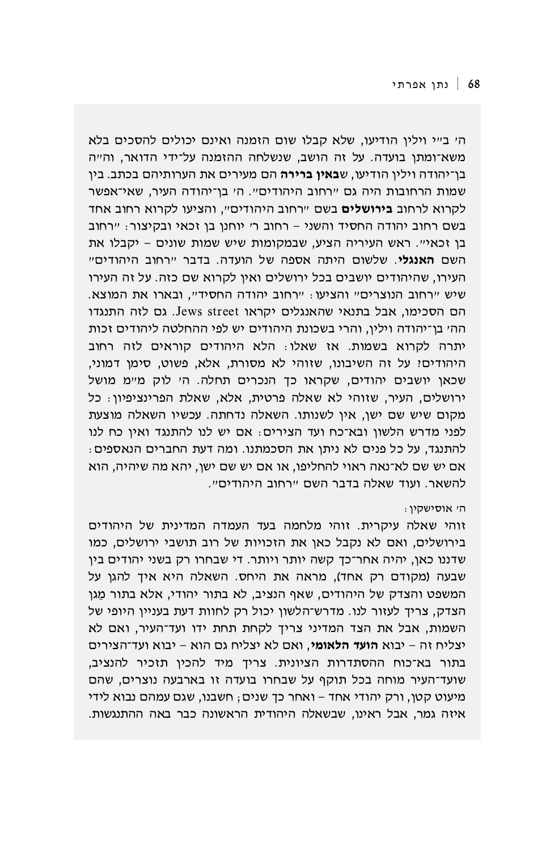הי בייי וילין הודיעו, שלא קבלו שום הזמנה ואינם יכולים להסכים בלא משא־ומתן בועדה. על זה הושב, שנשלחה ההזמנה על־ידי הדואר, וה״ה בן־יהודה וילין הודיעו, ש**באין ברירה** הם מעירים את הערותיהם בכתב. בין שמות הרחובות היה גם "רחוב היהודים". ה' בן־יהודה העיר, שאי־אפשר לקרוא לרחוב **בירושלים** בשם "רחוב היהודים", והציעו לקרוא רחוב אחד בשם רחוב יהודה החסיד והשני - רחוב ר׳ יוחנן בן זכאי ובקיצור: "רחוב בן זכאי". ראש העיריה הציע, שבמקומות שיש שמות שונים - יקבלו את השם **האנגלי**. שלשום היתה אספה של הועדה. בדבר ״רחוב היהודים״ העירו, שהיהודים יושבים בכל ירושלים ואין לקרוא שם כזה. על זה העירו שיש "רחוב הנוצרים" והציעו: "רחוב יהודה החסיד", ובארו את המוצא. הם הסכימו, אבל בתנאי שהאנגלים יקראו Jews street. גם לזה התנגדו הה׳ בן־יהודה וילין, והרי בשכונת היהודים יש לפי ההחלטה ליהודים זכות יתרה לקרוא בשמות. אז שאלו: הלא היהודים קוראים לזה רחוב היהודים! על זה השיבונו, שזוהי לא מסורת, אלא, פשוט, סימן דמוני, שכאן יושבים יהודים, שקראו כך הנכרים תחלה. הי לוק מיימ מושל ירושלים, העיר, שזוהי לא שאלה פרטית, אלא, שאלת הפרינציפיון: כל מקום שיש שם ישו, אין לשנותו. השאלה נדחתה. עכשיו השאלה מוצעת לפני מדרש הלשון ובא־כח ועד הצירים: אם יש לנו להתנגד ואין כח לנו להתנגד, על כל פנים לא ניתן את הסכמתנו. ומה דעת החברים הנאספים: אם יש שם לא־נאה ראוי להחליפו, או אם יש שם ישן, יהא מה שיהיה, הוא להשאר. ועוד שאלה בדבר השם "רחוב היהודים".

## הי אוסישקין:

זוהי שאלה עיקרית. זוהי מלחמה בעד העמדה המדינית של היהודים בירושלים, ואם לא נקבל כאן את הזכויות של רוב תושבי ירושלים, כמו שדננו כאן, יהיה אחר־כך קשה יותר ויותר. די שבחרו רק בשני יהודים בין שבעה (מקודם רק אחד), מראה את היחס. השאלה היא איך להגן על המשפט והצדק של היהודים, שאף הנציב, לא בתור יהודי, אלא בתור מֵגן הצדק, צריך לעזור לנו. מדרש־הלשון יכול רק לחוות דעת בעניין היופי של השמות, אבל את הצד המדיני צריך לקחת תחת ידו ועד־העיר, ואם לא יצליח זה – יבוא **הועד הלאומי**, ואם לא יצליח גם הוא – יבוא ועד־הצירים בתור בא־כוח ההסתדרות הציונית. צריך מיד להכין תזכיר להנציב, שועד־העיר מוחה בכל תוקף על שבחרו בועדה זו בארבעה נוצרים, שהם מיעוט קטן, ורק יהודי אחד – ואחר כך שנים ; חשבנו, שגם עמהם נבוא לידי איזה גמר, אבל ראינו, שבשאלה היהודית הראשונה כבר באה ההתנגשות.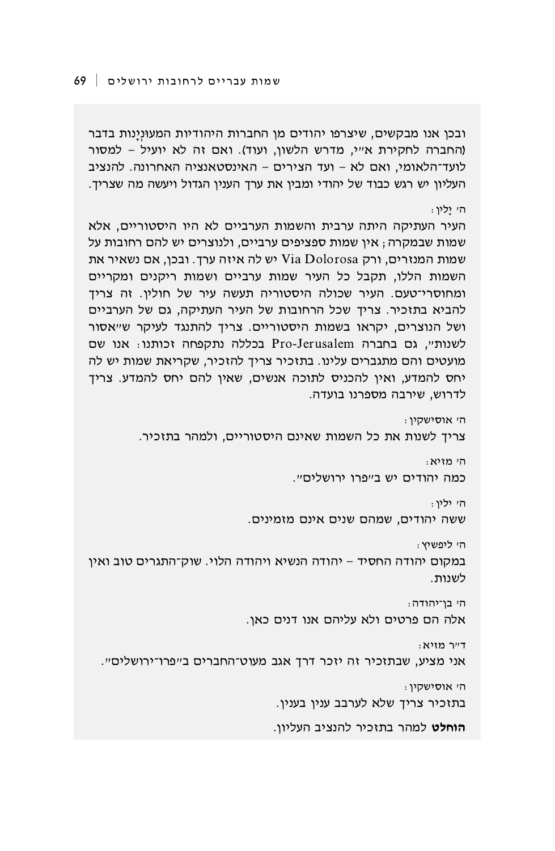הי אוסישקין: צריד לשנות את כל השמות שאינם היסטוריים, ולמהר בתזכיר. הי מזיא: כמה יהודים יש בייפרו ירושליםיי. הי יליו: ששה יהודים, שמהם שנים אינם מזמינים. הי ליפשיץ: במקום יהודה החסיד – יהודה הנשיא ויהודה הלוי. שוק־התגרים טוב ואין לשנות. הי בן־יהודה: אלה הם פרטים ולא עליהם אנו דנים כאן. : דייר מזיא אני מציע, שבתזכיר זה יזכר דרך אגב מעוט־החברים ב״פרו־ירושלים״. הי אוסישקין: בתזכיר צריך שלא לערבב ענין בענין. **הוחלט** למהר בתזכיר להנציב העליון.

הי ילין: העיר העתיקה היתה ערבית והשמות הערביים לא היו היסטוריים, אלא שמות שבמקרה; אין שמות ספציפים ערביים, ולנוצרים יש להם רחובות על שמות המנזרים, ורק Via Dolorosa יש לה איזה ערך. ובכן, אם נשאיר את השמות הללו, תקבל כל העיר שמות ערביים ושמות ריקנים ומקריים ומחוסרי־טעם. העיר שכולה היסטוריה תעשה עיר של חולין. זה צריך להביא בתזכיר. צריך שכל הרחובות של העיר העתיקה, גם של הערביים ושל הנוצרים, יקראו בשמות היסטוריים. צריך להתנגד לעיקר ש״אסור לשנות", גם בחברה Pro-Jerusalem בכללה נתקפחה זכותנו: אנו שם מועטים והם מתגברים עלינו. בתזכיר צריך להזכיר, שקריאת שמות יש לה יחס להמדע, ואין להכניס לתוכה אנשים, שאין להם יחס להמדע. צריך לדרוש, שירבה מספרנו בועדה.

ובכן אנו מבקשים, שיצרפו יהודים מן החברות היהודיות המעוּנינות בדבר (החברה לחקירת אייי, מדרש הלשון, ועוד). ואם זה לא יועיל - למסור לועד־הלאומי, ואם לא – ועד הצירים – האינסטאנציה האחרונה. להנציב העליון יש רגש כבוד של יהודי ומבין את ערך הענין הגדול ויעשה מה שצריך.